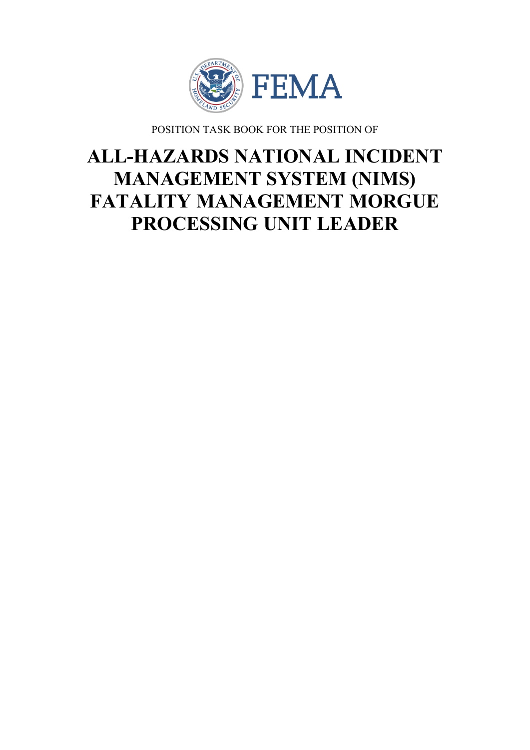

POSITION TASK BOOK FOR THE POSITION OF

# **ALL-HAZARDS NATIONAL INCIDENT MANAGEMENT SYSTEM (NIMS) FATALITY MANAGEMENT MORGUE PROCESSING UNIT LEADER**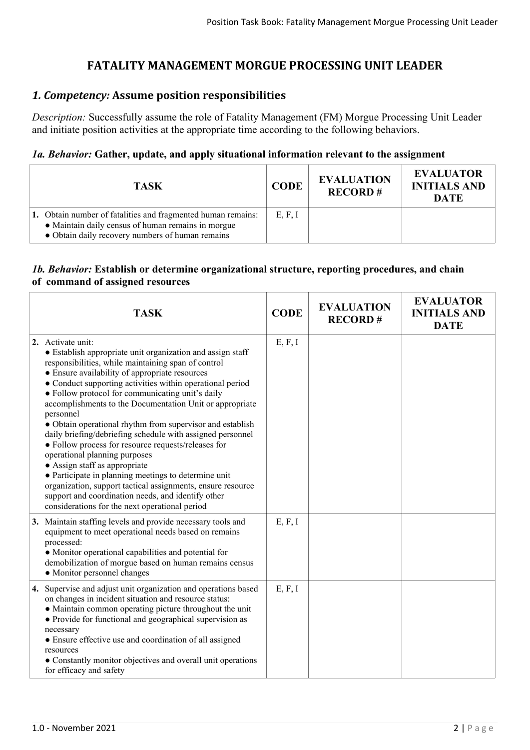## **FATALITY MANAGEMENT MORGUE PROCESSING UNIT LEADER**

### *1. Competency:* **Assume position responsibilities**

*Description:* Successfully assume the role of Fatality Management (FM) Morgue Processing Unit Leader and initiate position activities at the appropriate time according to the following behaviors.

#### *1a. Behavior:* **Gather, update, and apply situational information relevant to the assignment**

| <b>TASK</b>                                                                                                                                                            | <b>CODE</b> | <b>EVALUATION</b><br><b>RECORD#</b> | <b>EVALUATOR</b><br><b>INITIALS AND</b><br><b>DATE</b> |
|------------------------------------------------------------------------------------------------------------------------------------------------------------------------|-------------|-------------------------------------|--------------------------------------------------------|
| 1. Obtain number of fatalities and fragmented human remains:<br>• Maintain daily census of human remains in morgue<br>• Obtain daily recovery numbers of human remains | E, F, I     |                                     |                                                        |

#### *1b. Behavior:* **Establish or determine organizational structure, reporting procedures, and chain of command of assigned resources**

| <b>TASK</b>                                                                                                                                                                                                                                                                                                                                                                                                                                                                                                                                                                                                                                                                                                                                                                                                                                                           | <b>CODE</b> | <b>EVALUATION</b><br><b>RECORD#</b> | <b>EVALUATOR</b><br><b>INITIALS AND</b><br><b>DATE</b> |
|-----------------------------------------------------------------------------------------------------------------------------------------------------------------------------------------------------------------------------------------------------------------------------------------------------------------------------------------------------------------------------------------------------------------------------------------------------------------------------------------------------------------------------------------------------------------------------------------------------------------------------------------------------------------------------------------------------------------------------------------------------------------------------------------------------------------------------------------------------------------------|-------------|-------------------------------------|--------------------------------------------------------|
| 2. Activate unit:<br>• Establish appropriate unit organization and assign staff<br>responsibilities, while maintaining span of control<br>• Ensure availability of appropriate resources<br>• Conduct supporting activities within operational period<br>• Follow protocol for communicating unit's daily<br>accomplishments to the Documentation Unit or appropriate<br>personnel<br>· Obtain operational rhythm from supervisor and establish<br>daily briefing/debriefing schedule with assigned personnel<br>• Follow process for resource requests/releases for<br>operational planning purposes<br>• Assign staff as appropriate<br>• Participate in planning meetings to determine unit<br>organization, support tactical assignments, ensure resource<br>support and coordination needs, and identify other<br>considerations for the next operational period | E, F, I     |                                     |                                                        |
| 3. Maintain staffing levels and provide necessary tools and<br>equipment to meet operational needs based on remains<br>processed:<br>• Monitor operational capabilities and potential for<br>demobilization of morgue based on human remains census<br>• Monitor personnel changes                                                                                                                                                                                                                                                                                                                                                                                                                                                                                                                                                                                    | E, F, I     |                                     |                                                        |
| 4. Supervise and adjust unit organization and operations based<br>on changes in incident situation and resource status:<br>• Maintain common operating picture throughout the unit<br>• Provide for functional and geographical supervision as<br>necessary<br>• Ensure effective use and coordination of all assigned<br>resources<br>• Constantly monitor objectives and overall unit operations<br>for efficacy and safety                                                                                                                                                                                                                                                                                                                                                                                                                                         | E, F, I     |                                     |                                                        |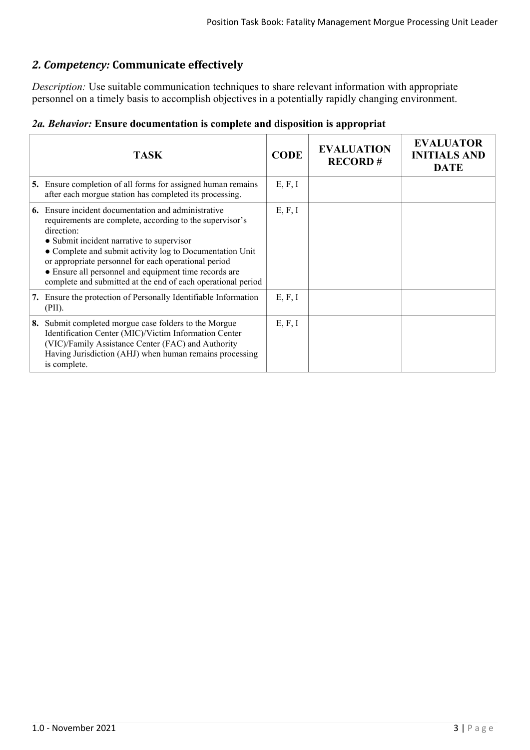# *2. Competency:* **Communicate effectively**

*Description:* Use suitable communication techniques to share relevant information with appropriate personnel on a timely basis to accomplish objectives in a potentially rapidly changing environment.

| 2a. Behavior: Ensure documentation is complete and disposition is appropriat |  |  |  |
|------------------------------------------------------------------------------|--|--|--|
|------------------------------------------------------------------------------|--|--|--|

|    | <b>TASK</b>                                                                                                                                                                                                                                                                                                                                                                                                          | <b>CODE</b> | <b>EVALUATION</b><br><b>RECORD#</b> | <b>EVALUATOR</b><br><b>INITIALS AND</b><br><b>DATE</b> |
|----|----------------------------------------------------------------------------------------------------------------------------------------------------------------------------------------------------------------------------------------------------------------------------------------------------------------------------------------------------------------------------------------------------------------------|-------------|-------------------------------------|--------------------------------------------------------|
|    | 5. Ensure completion of all forms for assigned human remains<br>after each morgue station has completed its processing.                                                                                                                                                                                                                                                                                              | E, F, I     |                                     |                                                        |
| 6. | Ensure incident documentation and administrative<br>requirements are complete, according to the supervisor's<br>direction:<br>• Submit incident narrative to supervisor<br>• Complete and submit activity log to Documentation Unit<br>or appropriate personnel for each operational period<br>• Ensure all personnel and equipment time records are<br>complete and submitted at the end of each operational period | E, F, I     |                                     |                                                        |
|    | 7. Ensure the protection of Personally Identifiable Information<br>(PII).                                                                                                                                                                                                                                                                                                                                            | E, F, I     |                                     |                                                        |
| 8. | Submit completed morgue case folders to the Morgue<br>Identification Center (MIC)/Victim Information Center<br>(VIC)/Family Assistance Center (FAC) and Authority<br>Having Jurisdiction (AHJ) when human remains processing<br>is complete.                                                                                                                                                                         | E, F, I     |                                     |                                                        |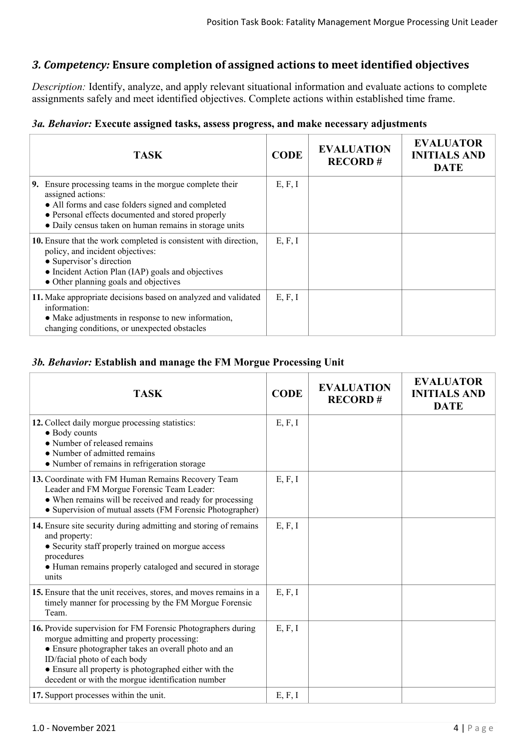# *3. Competency:* **Ensure completion of assigned actions to meet identified objectives**

*Description:* Identify, analyze, and apply relevant situational information and evaluate actions to complete assignments safely and meet identified objectives. Complete actions within established time frame.

#### *3a. Behavior:* **Execute assigned tasks, assess progress, and make necessary adjustments**

| <b>TASK</b>                                                                                                                                                                                                                                         | <b>CODE</b> | <b>EVALUATION</b><br><b>RECORD#</b> | <b>EVALUATOR</b><br><b>INITIALS AND</b><br><b>DATE</b> |
|-----------------------------------------------------------------------------------------------------------------------------------------------------------------------------------------------------------------------------------------------------|-------------|-------------------------------------|--------------------------------------------------------|
| Ensure processing teams in the morgue complete their<br>9.<br>assigned actions:<br>• All forms and case folders signed and completed<br>• Personal effects documented and stored properly<br>• Daily census taken on human remains in storage units | E, F, I     |                                     |                                                        |
| 10. Ensure that the work completed is consistent with direction,<br>policy, and incident objectives:<br>• Supervisor's direction<br>• Incident Action Plan (IAP) goals and objectives<br>• Other planning goals and objectives                      | E, F, I     |                                     |                                                        |
| 11. Make appropriate decisions based on analyzed and validated<br>information:<br>• Make adjustments in response to new information,<br>changing conditions, or unexpected obstacles                                                                | E, F, I     |                                     |                                                        |

#### *3b. Behavior:* **Establish and manage the FM Morgue Processing Unit**

| <b>TASK</b>                                                                                                                                                                                                                                                                                                    | <b>CODE</b> | <b>EVALUATION</b><br><b>RECORD#</b> | <b>EVALUATOR</b><br><b>INITIALS AND</b><br><b>DATE</b> |
|----------------------------------------------------------------------------------------------------------------------------------------------------------------------------------------------------------------------------------------------------------------------------------------------------------------|-------------|-------------------------------------|--------------------------------------------------------|
| 12. Collect daily morgue processing statistics:<br>• Body counts<br>• Number of released remains<br>• Number of admitted remains<br>• Number of remains in refrigeration storage                                                                                                                               | E, F, I     |                                     |                                                        |
| 13. Coordinate with FM Human Remains Recovery Team<br>Leader and FM Morgue Forensic Team Leader:<br>• When remains will be received and ready for processing<br>• Supervision of mutual assets (FM Forensic Photographer)                                                                                      | E, F, I     |                                     |                                                        |
| 14. Ensure site security during admitting and storing of remains<br>and property:<br>• Security staff properly trained on morgue access<br>procedures<br>• Human remains properly cataloged and secured in storage<br>units                                                                                    | E, F, I     |                                     |                                                        |
| 15. Ensure that the unit receives, stores, and moves remains in a<br>timely manner for processing by the FM Morgue Forensic<br>Team.                                                                                                                                                                           | E, F, I     |                                     |                                                        |
| 16. Provide supervision for FM Forensic Photographers during<br>morgue admitting and property processing:<br>• Ensure photographer takes an overall photo and an<br>ID/facial photo of each body<br>• Ensure all property is photographed either with the<br>decedent or with the morgue identification number | E, F, I     |                                     |                                                        |
| 17. Support processes within the unit.                                                                                                                                                                                                                                                                         | E, F, I     |                                     |                                                        |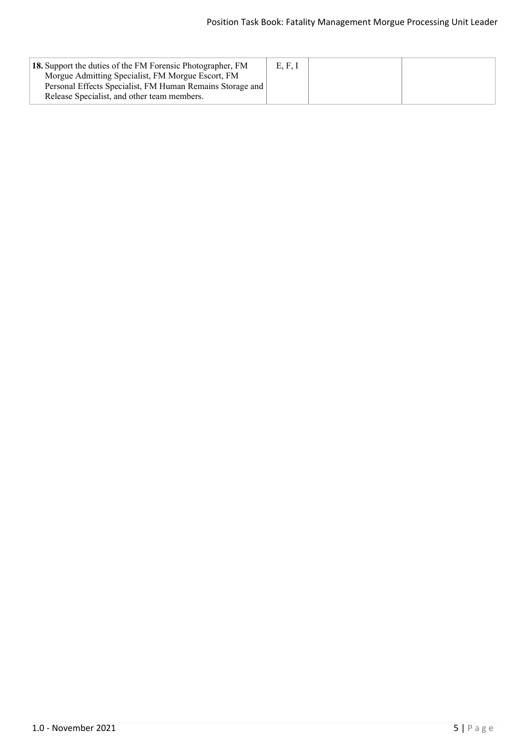| 18. Support the duties of the FM Forensic Photographer, FM                                                     | E, F, I |  |
|----------------------------------------------------------------------------------------------------------------|---------|--|
| Morgue Admitting Specialist, FM Morgue Escort, FM<br>Personal Effects Specialist, FM Human Remains Storage and |         |  |
| Release Specialist, and other team members.                                                                    |         |  |